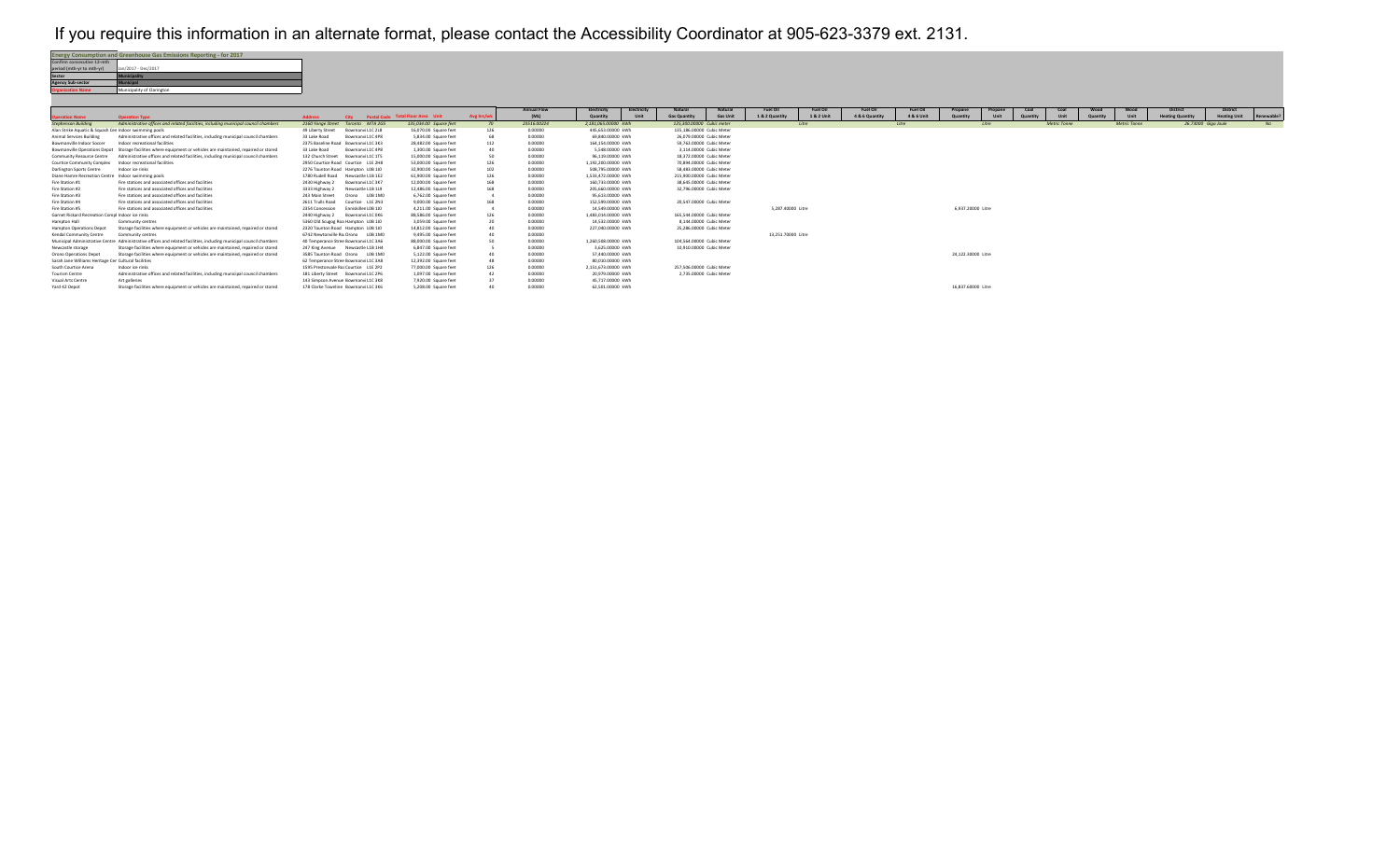## If you require this information in an alternate format, please contact the Accessibility Coordinator at 905-623-3379 ext. 2131.

| <b>Energy Consumption and Greenhouse Gas Emissions Reporting - for 2017</b> |  |  |  |  |  |  |  |  |  |
|-----------------------------------------------------------------------------|--|--|--|--|--|--|--|--|--|
|                                                                             |  |  |  |  |  |  |  |  |  |
| Jan/2017 - Dec/2017                                                         |  |  |  |  |  |  |  |  |  |
| Municipality                                                                |  |  |  |  |  |  |  |  |  |
| <b>Municipal</b>                                                            |  |  |  |  |  |  |  |  |  |
| Municipality of Clarington                                                  |  |  |  |  |  |  |  |  |  |
|                                                                             |  |  |  |  |  |  |  |  |  |

|                                                        |                                                                                                                     |                   |                                       |                                        |            | <b>Annual Flow</b> | Electricity         | Electricity              | Natural                   | Natural         | <b>Fuel Oil</b>    | <b>Fuel Oil</b> | <b>Fuel Oil</b> | <b>Fuel Oil</b> | Propane            | Propane | Coal     | Coal         | Wood     | Wood                | District                | <b>District</b>     |            |
|--------------------------------------------------------|---------------------------------------------------------------------------------------------------------------------|-------------------|---------------------------------------|----------------------------------------|------------|--------------------|---------------------|--------------------------|---------------------------|-----------------|--------------------|-----------------|-----------------|-----------------|--------------------|---------|----------|--------------|----------|---------------------|-------------------------|---------------------|------------|
| <b>peration Name</b>                                   | <b>Operation Type</b>                                                                                               | <b>Address</b>    |                                       | City Postal Code Total Floor Area Unit | Avg hrs/wk | (ML)               | Quantity            | Unit                     | <b>Gas Quantity</b>       | <b>Gas Unit</b> | 1 & 2 Quantity     | 1 & 2 Unit      | 4 & 6 Quantity  | 4 & 6 Unit      | Quantity           | Unit    | Quantity | Unit         | Quantity | Unit                | <b>Heating Quantity</b> | <b>Heating Unit</b> | Renewable? |
| <b>Stephenson Building</b>                             | Administrative offices and related facilities, including municipal council chambers                                 |                   | 2160 Yonge Street Toronto M7A 2G5     | 135.034.00 Square feet                 | - 70       | 23516.00224        | 2.181.065.00000 kWh |                          | 125.300.00000 Cubic meter |                 |                    | Litre           |                 | Litre           |                    | Litre   |          | Metric Tonne |          | <b>Metric Tonne</b> | 26.73000 Giga Joule     |                     | NQ         |
| Alan Strike Aquatic & Squash Cen Indoor swimming pools |                                                                                                                     | 49 Liberty Street | Bowmany L1C 2L8                       | 16,070,00 Square feet                  | 126        | 0.00000            | 445.653.00000 kWh   |                          | 135.186.00000 Cubic Meter |                 |                    |                 |                 |                 |                    |         |          |              |          |                     |                         |                     |            |
| Animal Services Building                               | Administrative offices and related facilities, including municipal council chambers                                 | 33 Lake Road      | Bowmany L1C 4P8                       | 5.834.00 Square feet                   | 68         | 0.00000            | 69 840 00000 kWh    |                          | 26.079.00000 Cubic Meter  |                 |                    |                 |                 |                 |                    |         |          |              |          |                     |                         |                     |            |
| Bowmanville Indoor Soccer                              | Indoor recreational facilities                                                                                      |                   | 2375 Baseline Road Bowmany L1C 3K3    | 28,482.00 Square feet                  | 112        | 0.00000            | 164.154.00000 kWh   |                          | 59.763.00000 Cubic Meter  |                 |                    |                 |                 |                 |                    |         |          |              |          |                     |                         |                     |            |
|                                                        | Bowmanville Operations Depot Storage facilities where equipment or vehicles are maintained, repaired or stored      | 33 Lake Road      | Bowmany L1C 4P8                       | 1.300.00 Square feet                   |            | 0.00000            | 5.548.00000. kWh    |                          | 3.114.00000 Cubic Meter   |                 |                    |                 |                 |                 |                    |         |          |              |          |                     |                         |                     |            |
| Community Resource Centre                              | Administrative offices and related facilities, including municipal council chambers                                 | 132 Church Street | Bowmany L1C 1T5                       | 15,000,00 Square feet                  | 50         | 0.00000            | 96.119.00000 kWh    |                          | 18.372.00000 Cubic Meter  |                 |                    |                 |                 |                 |                    |         |          |              |          |                     |                         |                     |            |
| Courtice Community Complex                             | Indoor recreational facilities                                                                                      |                   | 2950 Courtice Road Courtice L1E 2H8   | 53,000.00 Square feet                  | 126        | 0.00000            | 1.192.200.00000 kWh |                          | 70.894.00000 Cubic Meter  |                 |                    |                 |                 |                 |                    |         |          |              |          |                     |                         |                     |            |
| Darlington Sports Centre                               | Indoor ice rinks                                                                                                    |                   | 2276 Taunton Road Hampton LOB 1JD     | 32,900.00 Square feet                  | 102        | 0.00000            | 508.795.00000 kWh   |                          | 58.483.00000 Cubic Meter  |                 |                    |                 |                 |                 |                    |         |          |              |          |                     |                         |                     |            |
| Diane Hamre Recreation Centre Indoor swimming pools    |                                                                                                                     |                   | 1780 Rudell Road Newcastle L1B 1E2    | 61,900.00 Square feet                  | 126        | 0.00000            | 1.533.472.00000 kWh |                          | 215.900.00000 Cubic Meter |                 |                    |                 |                 |                 |                    |         |          |              |          |                     |                         |                     |            |
| Fire Station #1                                        | Fire stations and associated offices and facilities                                                                 | 2430 Highway 2    | Bowmany L1C 3K7                       | 12,000,00 Square feet                  | 168        | 0.00000            | 160.733.00000.kWh   |                          | 38.645.00000. Cubic Meter |                 |                    |                 |                 |                 |                    |         |          |              |          |                     |                         |                     |            |
| Fire Station #2                                        | Fire stations and associated offices and facilities                                                                 | 3333 Highway 2    | Newcastle L1B 1L9                     | 12,486.00 Square feet                  | 168        | 0.00000            | 205.660.00000 kWh   | 32.796.00000 Cubic Meter |                           |                 |                    |                 |                 |                 |                    |         |          |              |          |                     |                         |                     |            |
| Fire Station #3                                        | Fire stations and associated offices and facilities                                                                 | 243 Main Street   | Orono LOB 1MO                         | 6.762.00 Square feet                   |            | 0.00000            | 95.613.00000 kWh    |                          |                           |                 |                    |                 |                 |                 |                    |         |          |              |          |                     |                         |                     |            |
| Fire Station #4                                        | Fire stations and associated offices and facilities                                                                 | 2611 Trulls Road  | Courtice L1E 2N3                      | 9,000.00 Square feet                   | 168        | 0.00000            | 152.599.00000 kWh   |                          | 20.547.00000 Cubic Meter  |                 |                    |                 |                 |                 |                    |         |          |              |          |                     |                         |                     |            |
| Fire Station #5                                        | Fire stations and associated offices and facilities                                                                 | 2354 Concession   | Enniskiller LOB 1JO                   | 4,211.00 Square feet                   |            | 0.00000            | 14.549.00000 kWh    |                          |                           |                 | 5.287.40000 Litre  |                 |                 |                 | 6.937.20000 Litre  |         |          |              |          |                     |                         |                     |            |
| Garnet Rickard Recreation Compl Indoor ice rinks       |                                                                                                                     | 2440 Highway 2    | Bowmany L1C 0K6                       | 88,586,00 Square feet                  | 126        | 0.00000            | 1.483.014.00000 kWh |                          | 165.544.00000 Cubic Meter |                 |                    |                 |                 |                 |                    |         |          |              |          |                     |                         |                     |            |
| Hampton Hall                                           | Community centres                                                                                                   |                   | 5360 Old Scugog Roa Hampton LOB 1J0   | 3.059.00 Square feet                   |            | 0.00000            | 14.532.00000 kWh    |                          | 8.144.00000 Cubic Meter   |                 |                    |                 |                 |                 |                    |         |          |              |          |                     |                         |                     |            |
| Hampton Operations Depot                               | Storage facilities where equipment or vehicles are maintained, repaired or stored                                   |                   | 2320 Taunton Road Hampton LOB 1J0     | 14.812.00 Square feet                  |            | 0.00000            | 227.040.00000 kWh   |                          | 25.286.00000 Cubic Meter  |                 |                    |                 |                 |                 |                    |         |          |              |          |                     |                         |                     |            |
| Kendal Community Centre                                | Community centres                                                                                                   |                   | 6742 Newtonville Ro Orono LOB 1M0     | 9,495.00 Square feet                   |            | 0.00000            |                     |                          |                           |                 | 13.251.70000 Litre |                 |                 |                 |                    |         |          |              |          |                     |                         |                     |            |
|                                                        | Municipal Administrative Centre Administrative offices and related facilities, including municipal council chambers |                   | 40 Temperance Stree Bowmany L1C 3A6   | 88,000,00 Square feet                  |            | 0.00000            | 1,260,508,00000 kWh |                          | 104.564.00000 Cubic Meter |                 |                    |                 |                 |                 |                    |         |          |              |          |                     |                         |                     |            |
| Newcastle storage                                      | Storage facilities where equipment or vehicles are maintained, repaired or stored                                   |                   | 247 King Avenue Newcastle L1B 1H4     | 6.847.00 Square feet                   |            | 0.00000            | 3.625.00000 kWh     |                          | 10.910.00000 Cubic Meter  |                 |                    |                 |                 |                 |                    |         |          |              |          |                     |                         |                     |            |
| Orono Operations Depot                                 | Storage facilities where equipment or vehicles are maintained, repaired or stored                                   |                   | 3585 Taunton Road Orono LOB 1MO       | 5.122.00 Square feet                   |            | 0.00000            | 57,440,00000 kWh    |                          |                           |                 |                    |                 |                 |                 | 24.122.30000 Litre |         |          |              |          |                     |                         |                     |            |
| Sarah Jane Williams Heritage Cen Cultural facilities   |                                                                                                                     |                   | 62 Temperance Stree Bowmany L1C 3A8   | 12,392.00 Square feet                  |            | 0.00000            | 80.010.00000 kWh    |                          |                           |                 |                    |                 |                 |                 |                    |         |          |              |          |                     |                         |                     |            |
| South Courtice Arena                                   | Indoor ice rinks                                                                                                    |                   | 1595 Prestonvale Ro: Courtice L1E 2P2 | 77,000.00 Square feet                  | 126        | 0.00000            | 2.151.673.00000 kWh |                          | 257.506.00000 Cubic Meter |                 |                    |                 |                 |                 |                    |         |          |              |          |                     |                         |                     |            |
| Tourism Centre                                         | Administrative offices and related facilities, including municipal council chambers                                 |                   | 181 Liberty Street Bowmany L1C 2P6    | 1.097.00 Square feet                   |            | 0.00000            | 20.979.00000 kWh    |                          | 2.735.00000 Cubic Meter   |                 |                    |                 |                 |                 |                    |         |          |              |          |                     |                         |                     |            |
| Visual Arts Centre                                     | Art galleries                                                                                                       |                   | 143 Simpson Avenue Bowmany L1C 3K8    | 7,920.00 Square feet                   |            | 0.00000            | 45.717.00000 kWh    |                          |                           |                 |                    |                 |                 |                 |                    |         |          |              |          |                     |                         |                     |            |
| Yard 42 Depot                                          | Storage facilities where equipment or vehicles are maintained, repaired or stored                                   |                   | 178 Clarke Townline Bowmany 11C 3K6   | 5.208.00 Square feet                   |            | 0.00000            | 62.501.00000. kWh   |                          |                           |                 |                    |                 |                 |                 | 16.837.60000 Litre |         |          |              |          |                     |                         |                     |            |